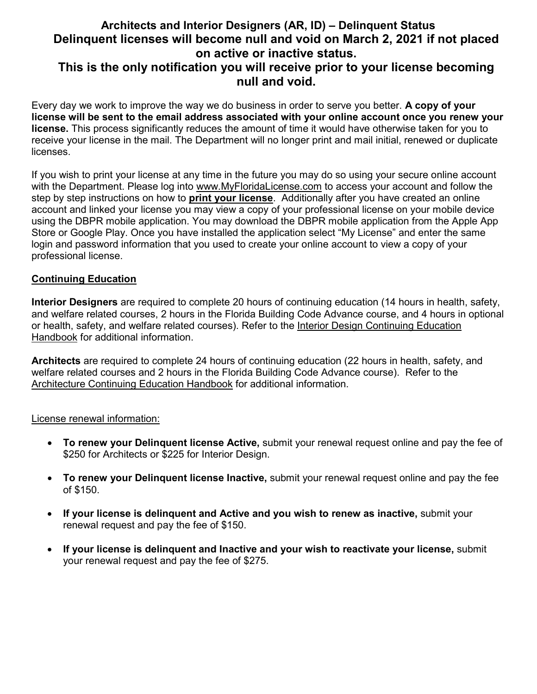## **Architects and Interior Designers (AR, ID) – Delinquent Status Delinquent licenses will become null and void on March 2, 2021 if not placed on active or inactive status.**

# **This is the only notification you will receive prior to your license becoming null and void.**

Every day we work to improve the way we do business in order to serve you better. **A copy of your license will be sent to the email address associated with your online account once you renew your license.** This process significantly reduces the amount of time it would have otherwise taken for you to receive your license in the mail. The Department will no longer print and mail initial, renewed or duplicate licenses.

If you wish to print your license at any time in the future you may do so using your secure online account with the Department. Please log into [www.MyFloridaLicense.com](http://www.myfloridalicense.com/) to access your account and follow the step by step instructions on how to **print your license**. Additionally after you have created an online account and linked your license you may view a copy of your professional license on your mobile device using the DBPR mobile application. You may download the DBPR mobile application from the Apple App Store or Google Play. Once you have installed the application select "My License" and enter the same login and password information that you used to create your online account to view a copy of your professional license.

### **Continuing Education**

**Interior Designers** are required to complete 20 hours of continuing education (14 hours in health, safety, and welfare related courses, 2 hours in the Florida Building Code Advance course, and 4 hours in optional or health, safety, and welfare related courses). Refer to the [Interior Design Continuing Education](http://www.myfloridalicense.com/dbpr/pro/arch/documents/interior_design_ce_prvdrs_crses_application_package_enterable.pdf)  [Handbook](http://www.myfloridalicense.com/dbpr/pro/arch/documents/interior_design_ce_prvdrs_crses_application_package_enterable.pdf) for additional information.

**Architects** are required to complete 24 hours of continuing education (22 hours in health, safety, and welfare related courses and 2 hours in the Florida Building Code Advance course). Refer to the Architecture Continuing Education Handbook for additional information.

License renewal information:

- **To renew your Delinquent license Active,** submit your renewal request online and pay the fee of \$250 for Architects or \$225 for Interior Design.
- **To renew your Delinquent license Inactive,** submit your renewal request online and pay the fee of \$150.
- **If your license is delinquent and Active and you wish to renew as inactive,** submit your renewal request and pay the fee of \$150.
- **If your license is delinquent and Inactive and your wish to reactivate your license,** submit your renewal request and pay the fee of \$275.